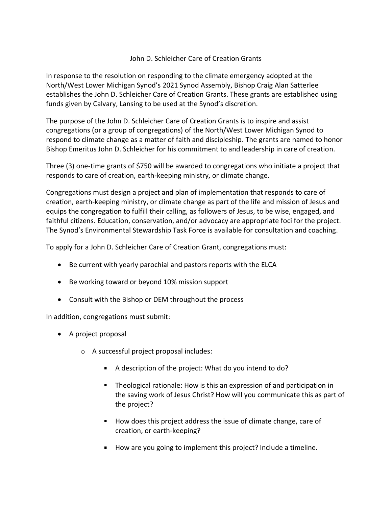## John D. Schleicher Care of Creation Grants

In response to the resolution on responding to the climate emergency adopted at the North/West Lower Michigan Synod's 2021 Synod Assembly, Bishop Craig Alan Satterlee establishes the John D. Schleicher Care of Creation Grants. These grants are established using funds given by Calvary, Lansing to be used at the Synod's discretion.

The purpose of the John D. Schleicher Care of Creation Grants is to inspire and assist congregations (or a group of congregations) of the North/West Lower Michigan Synod to respond to climate change as a matter of faith and discipleship. The grants are named to honor Bishop Emeritus John D. Schleicher for his commitment to and leadership in care of creation.

Three (3) one-time grants of \$750 will be awarded to congregations who initiate a project that responds to care of creation, earth-keeping ministry, or climate change.

Congregations must design a project and plan of implementation that responds to care of creation, earth-keeping ministry, or climate change as part of the life and mission of Jesus and equips the congregation to fulfill their calling, as followers of Jesus, to be wise, engaged, and faithful citizens. Education, conservation, and/or advocacy are appropriate foci for the project. The Synod's Environmental Stewardship Task Force is available for consultation and coaching.

To apply for a John D. Schleicher Care of Creation Grant, congregations must:

- Be current with yearly parochial and pastors reports with the ELCA
- Be working toward or beyond 10% mission support
- Consult with the Bishop or DEM throughout the process

In addition, congregations must submit:

- A project proposal
	- o A successful project proposal includes:
		- A description of the project: What do you intend to do?
		- Theological rationale: How is this an expression of and participation in the saving work of Jesus Christ? How will you communicate this as part of the project?
		- How does this project address the issue of climate change, care of creation, or earth-keeping?
		- How are you going to implement this project? Include a timeline.